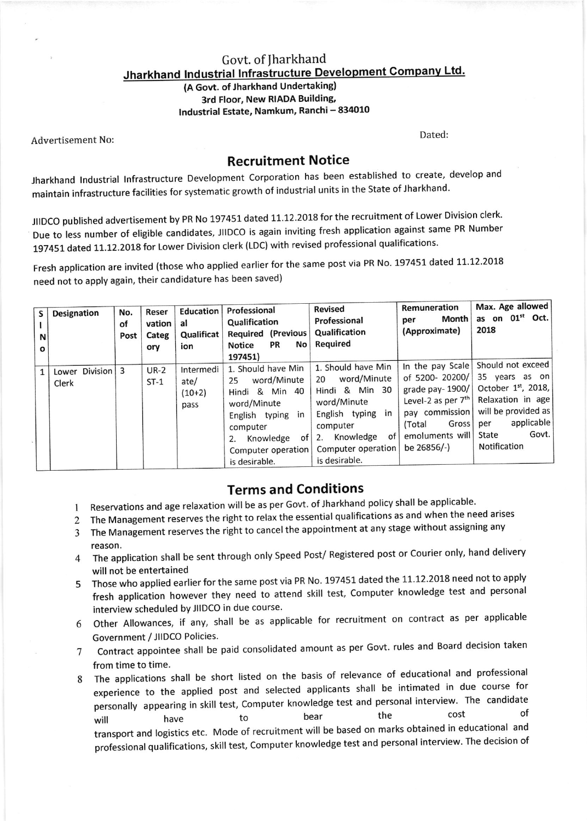## Govt. of Jharkhand Jharkhand Industrial Infrastructure Development Company Ltd.

(A Govt. of Jharkhand Undertaking) 3rd Floor, New RIADA Building, lndustrial Estate, Namkum, Ranchi - 834010

Advertisement No: Noted: Noted: Noted: Noted: Noted: Dated: Dated: Dated: Dated:

## Recruitment Notice

Jharkhand lndustrial lnfrastructure Development Corporation has been established to create, develop and maintain infrastructure facilities for systematic growth of industrial units in the State of Jharkhand.

JIIDCO published advertisement by PR No 197451 dated 11.12.2018 for the recruitment of Lower Division clerk. Due to less number of eligible candidates, JIIDCO is again inviting fresh application against same PR Number 197451 dated 11.12.2018 for Lower Division clerk (LDC) with revised professional qualifications.

Fresh application are invited (those who applied earlier for the same post via PR No. 197451 dated 11.12.2018 need not to apply again, their candidature has been saved)

| Designation<br>S<br>N<br>$\mathbf{o}$ | No.<br>οf<br>Post | Reser<br>vation<br>Categ<br>ory | Education<br>al<br>Qualificat<br>ion  | Professional<br>Qualification<br>Required (Previous<br>No<br><b>PR</b><br><b>Notice</b><br>197451)                                                                        | <b>Revised</b><br>Professional<br>Qualification<br>Required                                                                                                                    | Remuneration<br>Month<br>per<br>(Approximate)                                                                                                                     | Max. Age allowed<br>as on 01 <sup>st</sup> Oct.<br>2018                                                                                                         |
|---------------------------------------|-------------------|---------------------------------|---------------------------------------|---------------------------------------------------------------------------------------------------------------------------------------------------------------------------|--------------------------------------------------------------------------------------------------------------------------------------------------------------------------------|-------------------------------------------------------------------------------------------------------------------------------------------------------------------|-----------------------------------------------------------------------------------------------------------------------------------------------------------------|
| Lower Division 3<br>Clerk             |                   | $UR-2$<br>$ST-1$                | Intermedi<br>ate/<br>$(10+2)$<br>pass | 1. Should have Min<br>word/Minute<br>25<br>Hindi & Min 40<br>word/Minute<br>English typing in<br>computer<br>Knowledge<br>of<br>2.<br>Computer operation<br>is desirable. | 1. Should have Min<br>word/Minute<br>20<br>Hindi & Min 30<br>word/Minute<br>English typing<br>in<br>computer<br>Knowledge<br>of I<br>2.<br>Computer operation<br>is desirable. | In the pay Scale<br>of 5200-20200/<br>grade pay-1900/<br>Level-2 as per $7th$<br>pay commission<br>Gross <sup>1</sup><br>(Total<br>emoluments will<br>be 26856/-) | Should not exceed<br>35 years as on<br>October $1st$ , 2018,<br>Relaxation in age<br>will be provided as<br>applicable<br>per<br>Govt.<br>State<br>Notification |

## Terms and Conditions

- 1 Reservations and age relaxation will be as per Govt. of Jharkhand policy shall be applicable.
- 2 The Management reserves the right to relax the essential qualifications as and when the need arises
- 3 The Management reserves the right to cancel the appointment at any stage without assigning any
- reason.<br>4 The application shall be sent through only Speed Post/ Registered post or Courier only, hand delivery will not be entertained
- 5 Those who applied earlier for the same post via PR No. 197451 dated the 11.12.2018 need not to apply fresh application however they need to attend skill test, Computer knowledge test and personal interview scheduled by JIIDCO in due course.
- 6 Other Allowances, if any, shall be as applicable for recruitment on contract as per applicable Government / JllDCo Policies.
- 7 Contract appointee shall be paid consolidated amount as per Govt. rules and Board decision taken from time to time.
- 8 The applications shall be short listed on the basis of relevance of educational and professional experience to the applied post and selected applicants shall be intimated in due course for personally appearing in skill test, Computer knowledge test and personal interview. The candidate<br>the the cost of personally appearing in skin cost, compared meanings is the cost of the cost of the cost of transport and logistics etc. Mode of recruitment will be based on marks obtained in educational di professional qualifications, skill test, Computer knowledge test and personal interview. The decision of